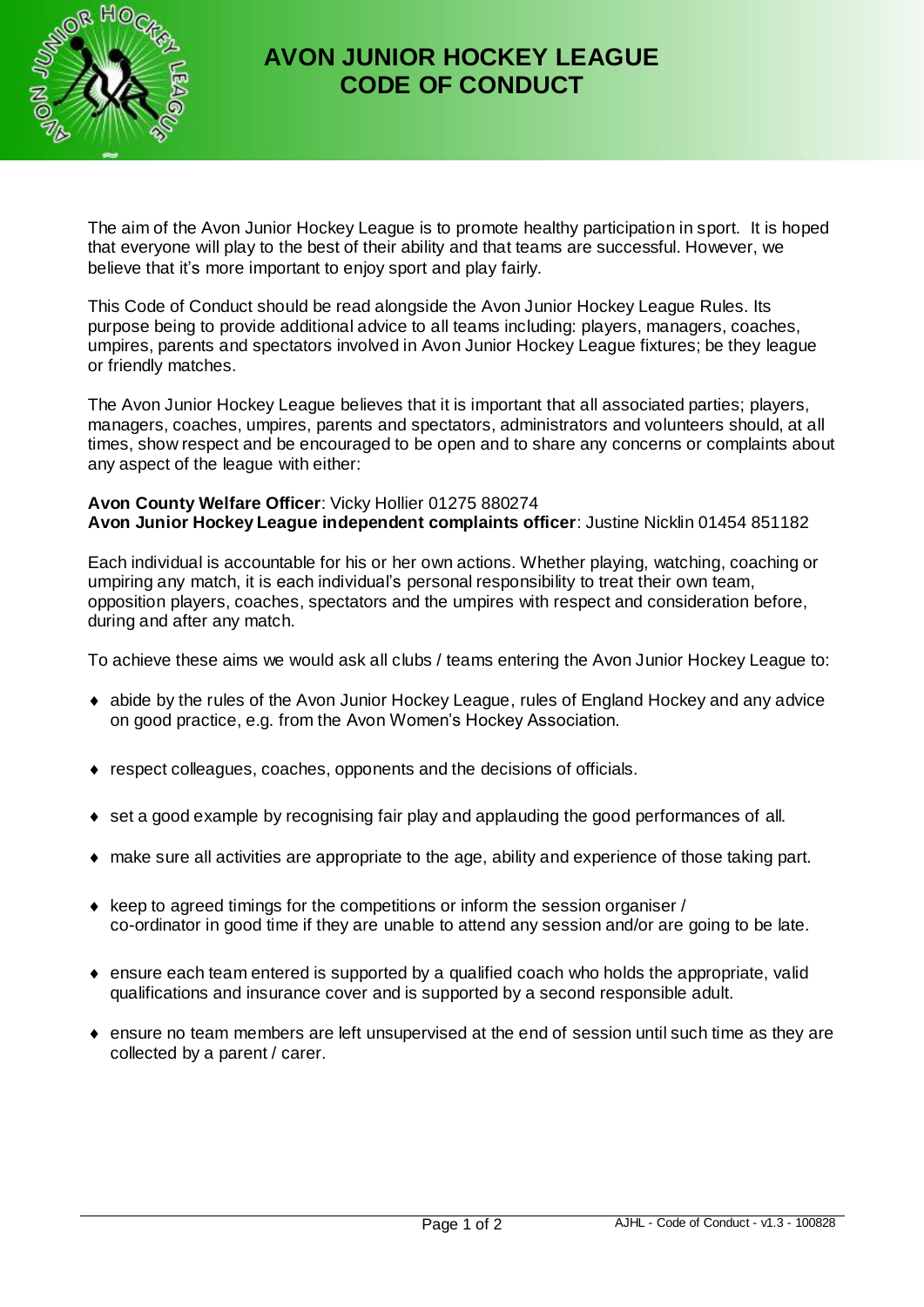

## **AVON JUNIOR HOCKEY LEAGUE CODE OF CONDUCT**

The aim of the Avon Junior Hockey League is to promote healthy participation in sport. It is hoped that everyone will play to the best of their ability and that teams are successful. However, we believe that it's more important to enjoy sport and play fairly.

This Code of Conduct should be read alongside the Avon Junior Hockey League Rules. Its purpose being to provide additional advice to all teams including: players, managers, coaches, umpires, parents and spectators involved in Avon Junior Hockey League fixtures; be they league or friendly matches.

The Avon Junior Hockey League believes that it is important that all associated parties; players, managers, coaches, umpires, parents and spectators, administrators and volunteers should, at all times, show respect and be encouraged to be open and to share any concerns or complaints about any aspect of the league with either:

## **Avon County Welfare Officer**: Vicky Hollier 01275 880274 **Avon Junior Hockey League independent complaints officer**: Justine Nicklin 01454 851182

Each individual is accountable for his or her own actions. Whether playing, watching, coaching or umpiring any match, it is each individual's personal responsibility to treat their own team, opposition players, coaches, spectators and the umpires with respect and consideration before, during and after any match.

To achieve these aims we would ask all clubs / teams entering the Avon Junior Hockey League to:

- abide by the rules of the Avon Junior Hockey League, rules of England Hockey and any advice on good practice, e.g. from the Avon Women's Hockey Association.
- respect colleagues, coaches, opponents and the decisions of officials.
- set a good example by recognising fair play and applauding the good performances of all.
- make sure all activities are appropriate to the age, ability and experience of those taking part.
- $\bullet$  keep to agreed timings for the competitions or inform the session organiser / co-ordinator in good time if they are unable to attend any session and/or are going to be late.
- ensure each team entered is supported by a qualified coach who holds the appropriate, valid qualifications and insurance cover and is supported by a second responsible adult.
- $\bullet$  ensure no team members are left unsupervised at the end of session until such time as they are collected by a parent / carer.